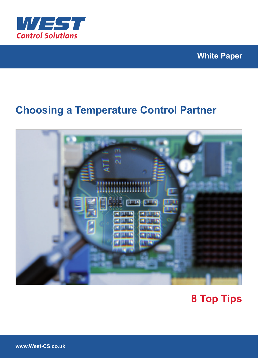

### **White Paper**

## **Choosing a Temperature Control Partner**



# **8 Top Tips**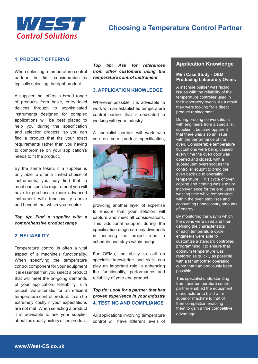

#### **1. PRODUCT OFFERING**

When selecting a temperature control partner the first consideration is typically selecting the right product.

A supplier that offers a broad range of products from basic, entry level devices through to sophisticated instruments designed for complex applications will be best placed to help you during the specification and selection process, so you can find a product that fits your exact requirements rather than you having to compromise on your application's needs to fit the product.

By the same token, if a supplier is only able to offer a limited choice of instruments, you may find that to meet one specific requirement you will have to purchase a more advanced instrument with functionality above and beyond that which you require.

*Top tip: Find a supplier with a comprehensive product range*

#### **2. RELIABILITY**

Temperature control is often a vital aspect of a machine's functionality. When specifying the temperature control component for your equipment it is essential that you select a product that will meet the on-going demands of your application. Reliability is a crucial characteristic for an efficient temperature control product. It can be extremely costly if your expectations are not met. When selecting a product it is advisable to ask your supplier about the quality history of the product.

*Top tip: Ask for references from other customers using the temperature control instrument* 

#### **3. APPLICATION KNOWLEDGE**

Wherever possible it is advisable to work with an established temperature control partner that is dedicated to working with your industry.

A specialist partner will work with you on your product specification,



providing another layer of expertise to ensure that your solution will capture and meet all considerations. This additional support during the specification stage can pay dividends in ensuring the project runs to schedule and stays within budget.

For OEMs, the ability to call on specialist knowledge and skills can play an important role in enhancing the functionality, performance and reliability of your end product.

#### *Top tip: Look for a partner that has proven experience in your industry*  **4. TESTING AND COMPLIANCE**

All applications involving temperature control will have different levels of

#### **Application Knowledge**

#### **Mini Case Study - OEM Producing Laboratory Ovens**

A machine builder was facing issues with the reliability of the temperature controller used in their laboratory ovens. As a result they were looking for a direct product replacement.

During probing conversations with engineers from a specialist supplier, it became apparent that there was also an issue with the performance of the oven. Considerable temperature fluctuations were being caused every time the oven door was opened and closed, with a subsequent overshoot as the controller sought to bring the oven back up to operating temperature. This cycle of oven cooling and heating was a major inconvenience for the end users, wasting time while temperature within the oven stabilises and consuming unnecessary amounts of energy.

By monitoring the way in which the ovens were used and then defining the characteristics of each temperature cycle, engineers were able to customize a standard controller, programming it to ensure that optimum temperature was restored as quickly as possible, with a far smoother operating curve that had previously been possible.

This specialist understanding from their temperature control partner enabled the equipment manufacturer to build a far superior machine to that of their competition enabling them to gain a true competitive advantage.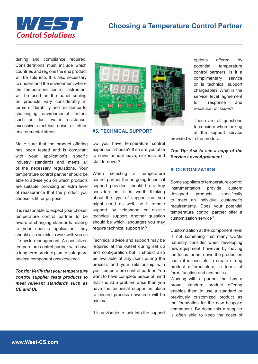



testing and compliance required. Considerations must include which countries and regions the end product will be sold into. It is also necessary to understand the environment where the temperature control instrument will be used as the panel sealing on products vary considerably in terms of durability and resistance to challenging environmental factors such as dust, water resistance, excessive electrical noise or other environmental stress.

Make sure that the product offering has been tested and is compliant with your application's specific industry standards and meets all of the necessary regulations. Your temperature control partner should be able to advise you on which products are suitable, providing an extra level of reassurance that the product you choose is fit for purpose.

It is reasonable to expect your chosen temperature control partner to be aware of changing standards relating to your specific application, they should also be able to work with you on life cycle management. A specialized temperature control partner with have a long term product plan to safeguard against component obsolescence.

*Top tip: Verify that your temperature control supplier tests products to meet relevant standards such as CE and UL*



**#5. TECHNICAL SUPPORT**

Do you have temperature control expertise in-house? If so are you able to cover annual leave, sickness and staff turnover?

When selecting a temperature control partner the on-going technical support provided should be a key consideration. It is worth thinking about the type of support that you might need as well, be it remote support by telephone or on-site technical support. Another question should be which languages you may require technical support in?

Technical advice and support may be required at the outset during set up and configuration but it should also be available at any point during the process and your relationship with your temperature control partner. You want to have complete peace of mind that should a problem arise then you have the technical support in place to ensure process downtime will be minimal.

It is advisable to look into the support

options offered by potential temperature control partners; is it a complimentary service or is technical support chargeable? What is the service level agreement for response and resolution of issues?

These are all questions to consider when looking at the support service

provided with the product.

#### *Top Tip: Ask to see a copy of the Service Level Agreement*

#### **6. CUSTOMIZATION**

Some suppliers of temperature control instrumentation provide custom designed products, specifically to meet an individual customer's requirements. Does your potential temperature control partner offer a customization service?

Customization at the component level is not something that many OEMs naturally consider when developing new equipment; however, by moving the focus further down the production chain it is possible to create strong product differentiators, in terms of form, function and aesthetics.

Working with a partner that has a broad standard product offering enables them to use a standard or previously customized product as the foundation for the new bespoke component. By doing this a supplier is often able to keep the costs of